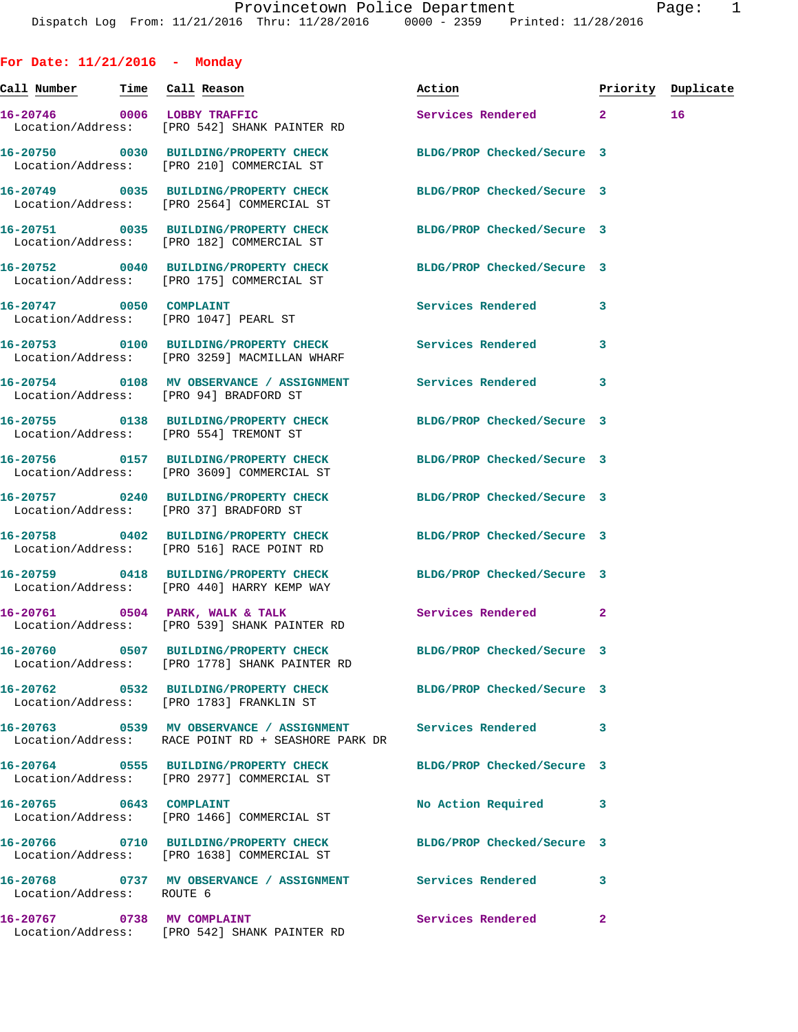**For Date: 11/21/2016 - Monday Call Number Time Call Reason Action Priority Duplicate 16-20746 0006 LOBBY TRAFFIC Services Rendered 2 16**  Location/Address: [PRO 542] SHANK PAINTER RD **16-20750 0030 BUILDING/PROPERTY CHECK BLDG/PROP Checked/Secure 3**  Location/Address: [PRO 210] COMMERCIAL ST **16-20749 0035 BUILDING/PROPERTY CHECK BLDG/PROP Checked/Secure 3**  Location/Address: [PRO 2564] COMMERCIAL ST **16-20751 0035 BUILDING/PROPERTY CHECK BLDG/PROP Checked/Secure 3**  Location/Address: [PRO 182] COMMERCIAL ST **16-20752 0040 BUILDING/PROPERTY CHECK BLDG/PROP Checked/Secure 3**  Location/Address: [PRO 175] COMMERCIAL ST **16-20747 0050 COMPLAINT Services Rendered 3**  Location/Address: [PRO 1047] PEARL ST **16-20753 0100 BUILDING/PROPERTY CHECK Services Rendered 3**  Location/Address: [PRO 3259] MACMILLAN WHARF **16-20754 0108 MV OBSERVANCE / ASSIGNMENT Services Rendered 3**  Location/Address: [PRO 94] BRADFORD ST **16-20755 0138 BUILDING/PROPERTY CHECK BLDG/PROP Checked/Secure 3**  Location/Address: [PRO 554] TREMONT ST **16-20756 0157 BUILDING/PROPERTY CHECK BLDG/PROP Checked/Secure 3**  Location/Address: [PRO 3609] COMMERCIAL ST **16-20757 0240 BUILDING/PROPERTY CHECK BLDG/PROP Checked/Secure 3**  Location/Address: [PRO 37] BRADFORD ST **16-20758 0402 BUILDING/PROPERTY CHECK BLDG/PROP Checked/Secure 3**  Location/Address: [PRO 516] RACE POINT RD **16-20759 0418 BUILDING/PROPERTY CHECK BLDG/PROP Checked/Secure 3**  Location/Address: [PRO 440] HARRY KEMP WAY 16-20761 0504 PARK, WALK & TALK Services Rendered 2 Location/Address: [PRO 539] SHANK PAINTER RD **16-20760 0507 BUILDING/PROPERTY CHECK BLDG/PROP Checked/Secure 3**  Location/Address: [PRO 1778] SHANK PAINTER RD **16-20762 0532 BUILDING/PROPERTY CHECK BLDG/PROP Checked/Secure 3**  Location/Address: [PRO 1783] FRANKLIN ST **16-20763 0539 MV OBSERVANCE / ASSIGNMENT Services Rendered 3**  Location/Address: RACE POINT RD + SEASHORE PARK DR **16-20764 0555 BUILDING/PROPERTY CHECK BLDG/PROP Checked/Secure 3**  Location/Address: [PRO 2977] COMMERCIAL ST **16-20765 0643 COMPLAINT No Action Required 3**  Location/Address: [PRO 1466] COMMERCIAL ST **16-20766 0710 BUILDING/PROPERTY CHECK BLDG/PROP Checked/Secure 3**  Location/Address: [PRO 1638] COMMERCIAL ST **16-20768 0737 MV OBSERVANCE / ASSIGNMENT Services Rendered 3**  Location/Address: **16-20767 0738 MV COMPLAINT Services Rendered 2** 

Location/Address: [PRO 542] SHANK PAINTER RD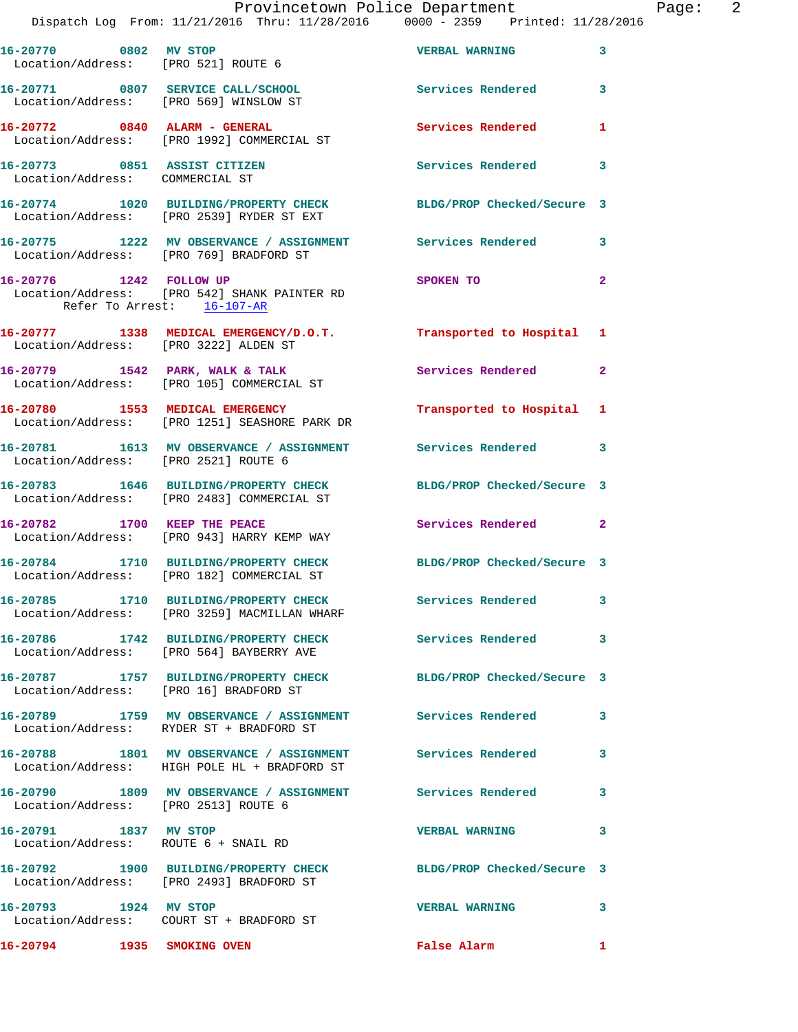|                                                              | Dispatch Log From: 11/21/2016 Thru: 11/28/2016 0000 - 2359 Printed: 11/28/2016                                 | Provincetown Police Department | Page: 2        |
|--------------------------------------------------------------|----------------------------------------------------------------------------------------------------------------|--------------------------------|----------------|
| 16-20770 0802 MV STOP<br>Location/Address: [PRO 521] ROUTE 6 |                                                                                                                | <b>VERBAL WARNING 3</b>        |                |
|                                                              | 16-20771 0807 SERVICE CALL/SCHOOL 5ervices Rendered 3<br>Location/Address: [PRO 569] WINSLOW ST                |                                |                |
|                                                              | 16-20772 0840 ALARM - GENERAL<br>Location/Address: [PRO 1992] COMMERCIAL ST                                    | Services Rendered              | -1             |
| Location/Address: COMMERCIAL ST                              | 16-20773 0851 ASSIST CITIZEN                                                                                   | Services Rendered 3            |                |
|                                                              | 16-20774 1020 BUILDING/PROPERTY CHECK BLDG/PROP Checked/Secure 3<br>Location/Address: [PRO 2539] RYDER ST EXT  |                                |                |
|                                                              | 16-20775 1222 MV OBSERVANCE / ASSIGNMENT Services Rendered 3<br>Location/Address: [PRO 769] BRADFORD ST        |                                |                |
| Refer To Arrest: 16-107-AR                                   | 16-20776 1242 FOLLOW UP<br>Location/Address: [PRO 542] SHANK PAINTER RD                                        | SPOKEN TO                      | $\overline{2}$ |
| Location/Address: [PRO 3222] ALDEN ST                        | 16-20777 1338 MEDICAL EMERGENCY/D.O.T. Transported to Hospital 1                                               |                                |                |
|                                                              | 16-20779 1542 PARK, WALK & TALK<br>Location/Address: [PRO 105] COMMERCIAL ST                                   | Services Rendered 2            |                |
|                                                              | 16-20780 1553 MEDICAL EMERGENCY<br>Location/Address: [PRO 1251] SEASHORE PARK DR                               | Transported to Hospital 1      |                |
| Location/Address: [PRO 2521] ROUTE 6                         | 16-20781 1613 MV OBSERVANCE / ASSIGNMENT Services Rendered 3                                                   |                                |                |
|                                                              | 16-20783 1646 BUILDING/PROPERTY CHECK BLDG/PROP Checked/Secure 3<br>Location/Address: [PRO 2483] COMMERCIAL ST |                                |                |
|                                                              | 16-20782 1700 KEEP THE PEACE<br>Location/Address: [PRO 943] HARRY KEMP WAY                                     | Services Rendered 2            |                |
|                                                              | 16-20784 1710 BUILDING/PROPERTY CHECK<br>Location/Address: [PRO 182] COMMERCIAL ST                             | BLDG/PROP Checked/Secure 3     |                |
|                                                              | 16-20785 1710 BUILDING/PROPERTY CHECK Services Rendered 3<br>Location/Address: [PRO 3259] MACMILLAN WHARF      |                                |                |
|                                                              | 16-20786 1742 BUILDING/PROPERTY CHECK Services Rendered<br>Location/Address: [PRO 564] BAYBERRY AVE            |                                | $\mathbf{3}$   |
| Location/Address: [PRO 16] BRADFORD ST                       | 16-20787 1757 BUILDING/PROPERTY CHECK BLDG/PROP Checked/Secure 3                                               |                                |                |
|                                                              | 16-20789 1759 MV OBSERVANCE / ASSIGNMENT Services Rendered<br>Location/Address: RYDER ST + BRADFORD ST         |                                | 3              |
|                                                              | 16-20788 1801 MV OBSERVANCE / ASSIGNMENT<br>Location/Address: HIGH POLE HL + BRADFORD ST                       | Services Rendered 3            |                |
| Location/Address: [PRO 2513] ROUTE 6                         | 16-20790 1809 MV OBSERVANCE / ASSIGNMENT Services Rendered 3                                                   |                                |                |
| 16-20791 1837 MV STOP                                        | Location/Address: ROUTE 6 + SNAIL RD                                                                           | <b>VERBAL WARNING</b>          | 3              |
|                                                              | 16-20792 1900 BUILDING/PROPERTY CHECK BLDG/PROP Checked/Secure 3<br>Location/Address: [PRO 2493] BRADFORD ST   |                                |                |
| 16-20793 1924 MV STOP                                        |                                                                                                                | <b>VERBAL WARNING</b>          | 3              |
| 16-20794 1935 SMOKING OVEN                                   |                                                                                                                | False Alarm                    | $\mathbf{1}$   |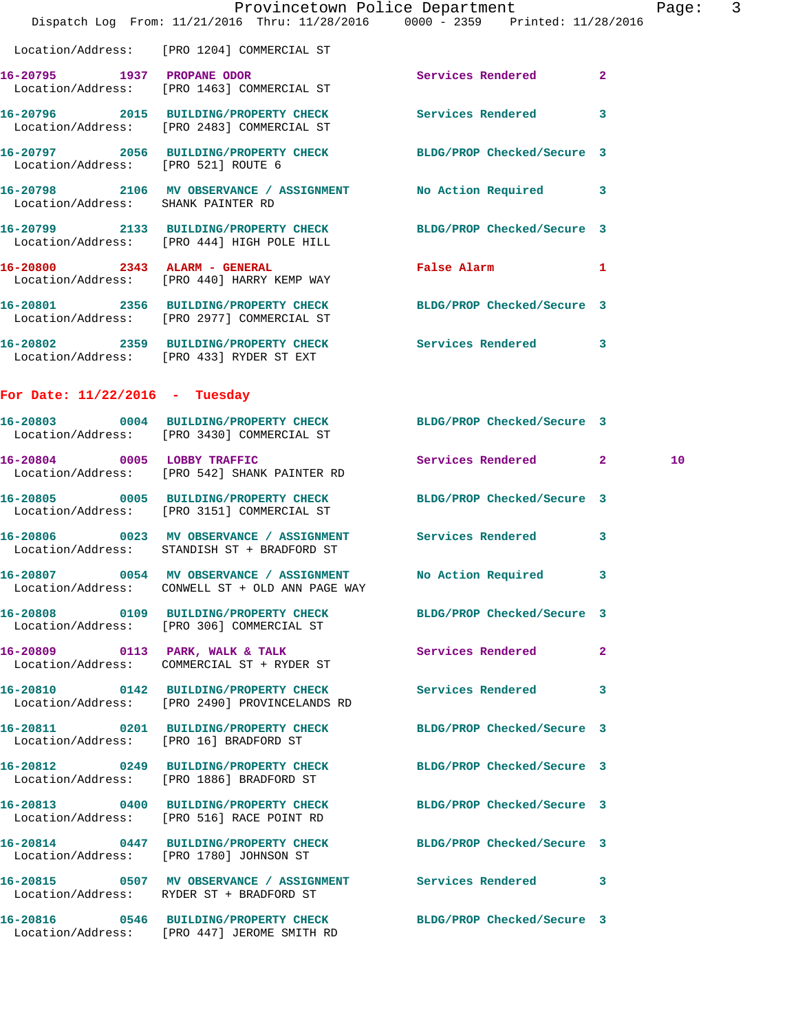|                                    |                                                                                                                  | Provincetown Police Department | Page:        | $\overline{3}$ |
|------------------------------------|------------------------------------------------------------------------------------------------------------------|--------------------------------|--------------|----------------|
|                                    | Dispatch Log From: 11/21/2016 Thru: 11/28/2016 0000 - 2359 Printed: 11/28/2016                                   |                                |              |                |
|                                    | Location/Address: [PRO 1204] COMMERCIAL ST                                                                       |                                |              |                |
|                                    | 16-20795 1937 PROPANE ODOR Services Rendered 2<br>Location/Address: [PRO 1463] COMMERCIAL ST                     |                                |              |                |
|                                    | 16-20796 2015 BUILDING/PROPERTY CHECK Services Rendered 3<br>Location/Address: [PRO 2483] COMMERCIAL ST          |                                |              |                |
|                                    | 16-20797 2056 BUILDING/PROPERTY CHECK BLDG/PROP Checked/Secure 3<br>Location/Address: [PRO 521] ROUTE 6          |                                |              |                |
| Location/Address: SHANK PAINTER RD | 16-20798 2106 MV OBSERVANCE / ASSIGNMENT No Action Required 3                                                    |                                |              |                |
|                                    | 16-20799 2133 BUILDING/PROPERTY CHECK BLDG/PROP Checked/Secure 3<br>Location/Address: [PRO 444] HIGH POLE HILL   |                                |              |                |
|                                    | 16-20800 2343 ALARM - GENERAL<br>Location/Address: [PRO 440] HARRY KEMP WAY                                      | False Alarm 1                  |              |                |
|                                    | 16-20801 2356 BUILDING/PROPERTY CHECK BLDG/PROP Checked/Secure 3<br>Location/Address: [PRO 2977] COMMERCIAL ST   |                                |              |                |
|                                    | 16-20802 2359 BUILDING/PROPERTY CHECK Services Rendered 3<br>Location/Address: [PRO 433] RYDER ST EXT            |                                |              |                |
| For Date: $11/22/2016$ - Tuesday   |                                                                                                                  |                                |              |                |
|                                    | 16-20803 0004 BUILDING/PROPERTY CHECK BLDG/PROP Checked/Secure 3<br>Location/Address: [PRO 3430] COMMERCIAL ST   |                                |              |                |
|                                    | 16-20804 0005 LOBBY TRAFFIC<br>Location/Address: [PRO 542] SHANK PAINTER RD                                      | Services Rendered 2            | 10           |                |
|                                    | 16-20805 0005 BUILDING/PROPERTY CHECK BLDG/PROP Checked/Secure 3<br>Location/Address: [PRO 3151] COMMERCIAL ST   |                                |              |                |
|                                    | 16-20806 0023 MV OBSERVANCE / ASSIGNMENT Services Rendered 3<br>Location/Address: STANDISH ST + BRADFORD ST      |                                |              |                |
|                                    | 16-20807 0054 MV OBSERVANCE / ASSIGNMENT No Action Required 3<br>Location/Address: CONWELL ST + OLD ANN PAGE WAY |                                |              |                |
|                                    | 16-20808 0109 BUILDING/PROPERTY CHECK BLDG/PROP Checked/Secure 3<br>Location/Address: [PRO 306] COMMERCIAL ST    |                                |              |                |
|                                    | 16-20809 0113 PARK, WALK & TALK<br>Location/Address: COMMERCIAL ST + RYDER ST                                    | Services Rendered              | $\mathbf{2}$ |                |
|                                    | 16-20810 0142 BUILDING/PROPERTY CHECK Services Rendered<br>Location/Address: [PRO 2490] PROVINCELANDS RD         |                                | 3            |                |
|                                    | 16-20811 0201 BUILDING/PROPERTY CHECK BLDG/PROP Checked/Secure 3<br>Location/Address: [PRO 16] BRADFORD ST       |                                |              |                |
|                                    | 16-20812 0249 BUILDING/PROPERTY CHECK<br>Location/Address: [PRO 1886] BRADFORD ST                                | BLDG/PROP Checked/Secure 3     |              |                |
|                                    | 16-20813 0400 BUILDING/PROPERTY CHECK BLDG/PROP Checked/Secure 3<br>Location/Address: [PRO 516] RACE POINT RD    |                                |              |                |
|                                    | 16-20814 0447 BUILDING/PROPERTY CHECK BLDG/PROP Checked/Secure 3<br>Location/Address: [PRO 1780] JOHNSON ST      |                                |              |                |
|                                    | 16-20815 0507 MV OBSERVANCE / ASSIGNMENT Services Rendered 3<br>Location/Address: RYDER ST + BRADFORD ST         |                                |              |                |
|                                    | 16-20816 0546 BUILDING/PROPERTY CHECK BLDG/PROP Checked/Secure 3                                                 |                                |              |                |

Location/Address: [PRO 447] JEROME SMITH RD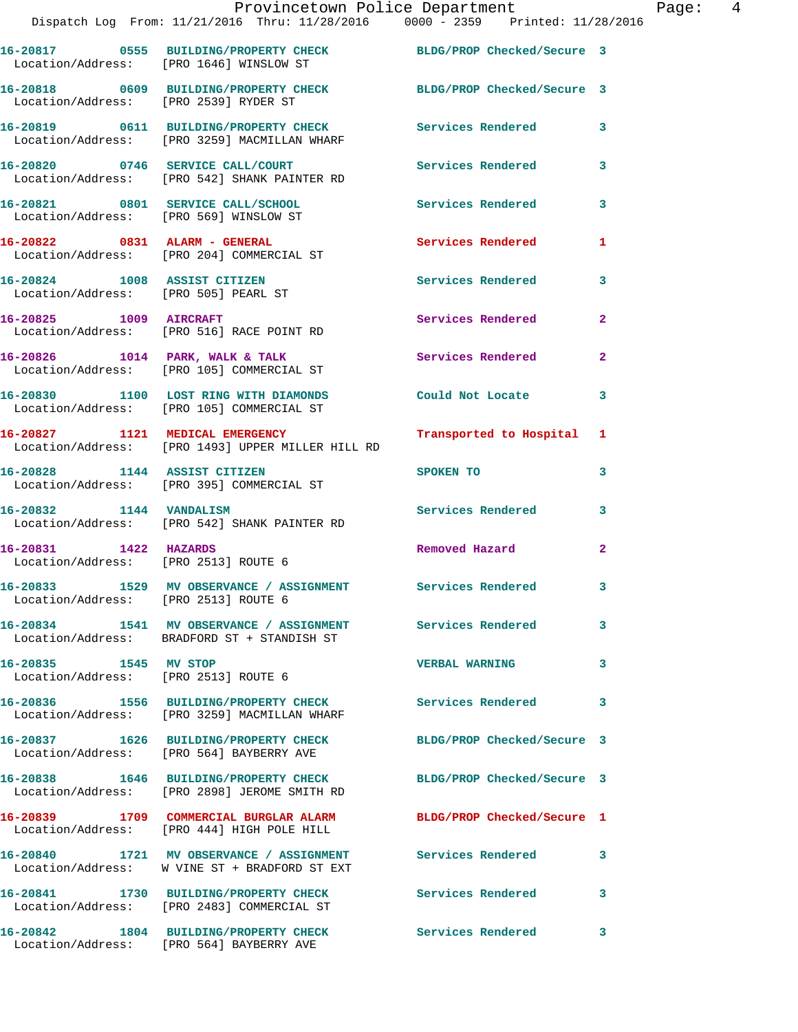|                                                               | Provincetown Police Department                                                                                |                            |                |
|---------------------------------------------------------------|---------------------------------------------------------------------------------------------------------------|----------------------------|----------------|
|                                                               | Dispatch Log From: 11/21/2016 Thru: 11/28/2016 0000 - 2359 Printed: 11/28/2016                                |                            |                |
|                                                               | 16-20817 0555 BUILDING/PROPERTY CHECK BLDG/PROP Checked/Secure 3<br>Location/Address: [PRO 1646] WINSLOW ST   |                            |                |
|                                                               | 16-20818 0609 BUILDING/PROPERTY CHECK BLDG/PROP Checked/Secure 3<br>Location/Address: [PRO 2539] RYDER ST     |                            |                |
|                                                               | 16-20819 0611 BUILDING/PROPERTY CHECK Services Rendered 3<br>Location/Address: [PRO 3259] MACMILLAN WHARF     |                            |                |
|                                                               | 16-20820 0746 SERVICE CALL/COURT<br>Location/Address: [PRO 542] SHANK PAINTER RD                              | <b>Services Rendered</b>   | 3              |
|                                                               | 16-20821 0801 SERVICE CALL/SCHOOL 5 Services Rendered<br>Location/Address: [PRO 569] WINSLOW ST               |                            | 3              |
|                                                               | 16-20822 0831 ALARM - GENERAL<br>Location/Address: [PRO 204] COMMERCIAL ST                                    | <b>Services Rendered</b>   | 1              |
| 16-20824 1008 ASSIST CITIZEN                                  | Location/Address: [PRO 505] PEARL ST                                                                          | Services Rendered          | 3              |
|                                                               | 16-20825 1009 AIRCRAFT<br>Location/Address: [PRO 516] RACE POINT RD                                           | Services Rendered          | $\overline{2}$ |
|                                                               | 16-20826 1014 PARK, WALK & TALK<br>Location/Address: [PRO 105] COMMERCIAL ST                                  | <b>Services Rendered</b>   | $\mathbf{2}$   |
|                                                               | 16-20830 1100 LOST RING WITH DIAMONDS                                                                         | Could Not Locate           | 3              |
|                                                               | Location/Address: [PRO 105] COMMERCIAL ST<br>16-20827 1121 MEDICAL EMERGENCY                                  | Transported to Hospital    | 1              |
|                                                               | Location/Address: [PRO 1493] UPPER MILLER HILL RD                                                             |                            |                |
|                                                               | 16-20828 1144 ASSIST CITIZEN<br>Location/Address: [PRO 395] COMMERCIAL ST                                     | <b>SPOKEN TO</b>           | 3              |
| 16-20832 1144 VANDALISM                                       | Location/Address: [PRO 542] SHANK PAINTER RD                                                                  | <b>Services Rendered</b>   | 3              |
| 16-20831 1422 HAZARDS<br>Location/Address: [PRO 2513] ROUTE 6 |                                                                                                               | Removed Hazard             | $\overline{a}$ |
| Location/Address: [PRO 2513] ROUTE 6                          | 16-20833 1529 MV OBSERVANCE / ASSIGNMENT Services Rendered                                                    |                            | 3              |
|                                                               | 16-20834 1541 MV OBSERVANCE / ASSIGNMENT<br>Location/Address: BRADFORD ST + STANDISH ST                       | <b>Services Rendered</b>   | 3              |
| 16-20835 1545 MV STOP                                         | Location/Address: [PRO 2513] ROUTE 6                                                                          | <b>VERBAL WARNING</b>      | 3              |
|                                                               | 16-20836 1556 BUILDING/PROPERTY CHECK<br>Location/Address: [PRO 3259] MACMILLAN WHARF                         | Services Rendered          | 3              |
|                                                               | 16-20837 1626 BUILDING/PROPERTY CHECK<br>Location/Address: [PRO 564] BAYBERRY AVE                             | BLDG/PROP Checked/Secure 3 |                |
|                                                               | Location/Address: [PRO 2898] JEROME SMITH RD                                                                  | BLDG/PROP Checked/Secure 3 |                |
|                                                               | 16-20839 1709 COMMERCIAL BURGLAR ALARM<br>Location/Address: [PRO 444] HIGH POLE HILL                          | BLDG/PROP Checked/Secure 1 |                |
|                                                               | 16-20840 1721 MV OBSERVANCE / ASSIGNMENT Services Rendered 3<br>Location/Address: W VINE ST + BRADFORD ST EXT |                            |                |
|                                                               | 16-20841 1730 BUILDING/PROPERTY CHECK                                                                         | <b>Services Rendered</b> 3 |                |

Location/Address: [PRO 564] BAYBERRY AVE

Location/Address: [PRO 2483] COMMERCIAL ST

**16-20842 1804 BUILDING/PROPERTY CHECK Services Rendered 3** 

Page: 4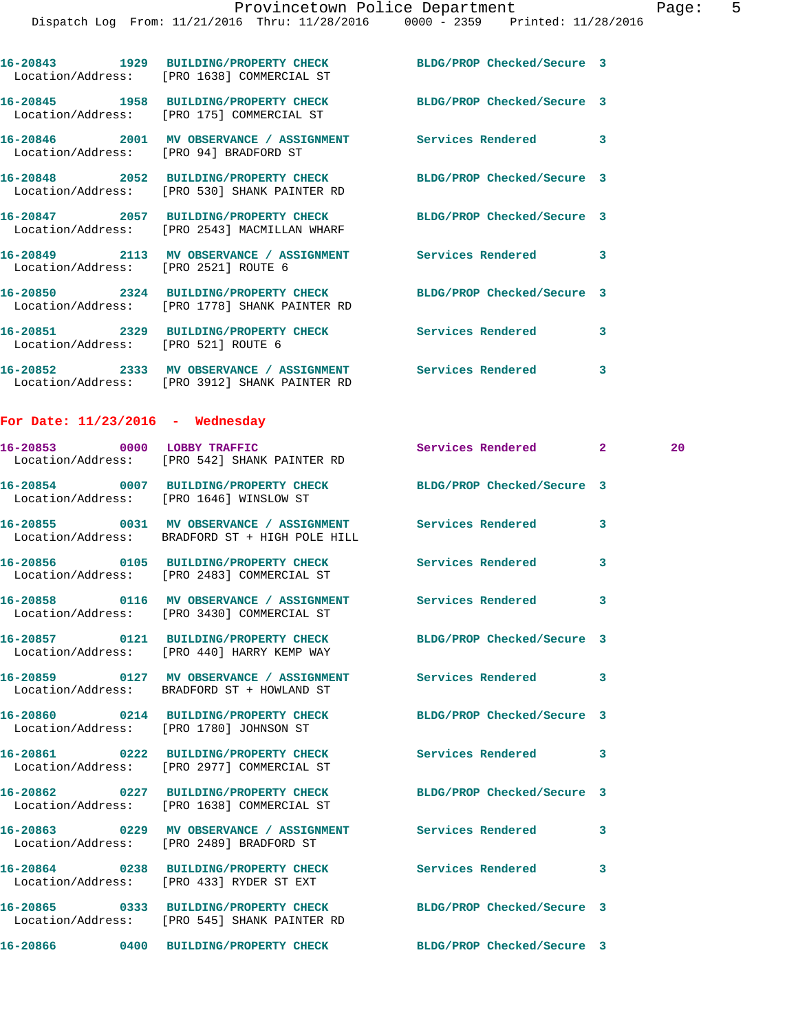|                                    | 16-20843 1929 BUILDING/PROPERTY CHECK<br>Location/Address: [PRO 1638] COMMERCIAL ST   | BLDG/PROP Checked/Secure 3                                             |   |    |
|------------------------------------|---------------------------------------------------------------------------------------|------------------------------------------------------------------------|---|----|
|                                    | 16-20845 1958 BUILDING/PROPERTY CHECK<br>Location/Address: [PRO 175] COMMERCIAL ST    | BLDG/PROP Checked/Secure 3                                             |   |    |
|                                    | Location/Address: [PRO 94] BRADFORD ST                                                | 16-20846 2001 MV OBSERVANCE / ASSIGNMENT Services Rendered 3           |   |    |
|                                    | 16-20848 2052 BUILDING/PROPERTY CHECK<br>Location/Address: [PRO 530] SHANK PAINTER RD | BLDG/PROP Checked/Secure 3                                             |   |    |
|                                    | Location/Address: [PRO 2543] MACMILLAN WHARF                                          | 16-20847 2057 BUILDING/PROPERTY CHECK BLDG/PROP Checked/Secure 3       |   |    |
|                                    | Location/Address: [PRO 2521] ROUTE 6                                                  | 16-20849 2113 MV OBSERVANCE / ASSIGNMENT Services Rendered 3           |   |    |
|                                    | Location/Address: [PRO 1778] SHANK PAINTER RD                                         | 16-20850 2324 BUILDING/PROPERTY CHECK BLDG/PROP Checked/Secure 3       |   |    |
|                                    | Location/Address: [PRO 521] ROUTE 6                                                   | 16-20851 2329 BUILDING/PROPERTY CHECK Services Rendered                | 3 |    |
|                                    | Location/Address: [PRO 3912] SHANK PAINTER RD                                         | 16-20852 2333 MV OBSERVANCE / ASSIGNMENT Services Rendered 3           |   |    |
| For Date: $11/23/2016$ - Wednesday |                                                                                       |                                                                        |   |    |
|                                    | 16-20853 0000 LOBBY TRAFFIC<br>Location/Address: [PRO 542] SHANK PAINTER RD           | Services Rendered 2                                                    |   | 20 |
|                                    | Location/Address: [PRO 1646] WINSLOW ST                                               | 16-20854 0007 BUILDING/PROPERTY CHECK BLDG/PROP Checked/Secure 3       |   |    |
|                                    | Location/Address: BRADFORD ST + HIGH POLE HILL                                        |                                                                        | 3 |    |
|                                    | Location/Address: [PRO 2483] COMMERCIAL ST                                            | 16-20856 0105 BUILDING/PROPERTY CHECK Services Rendered                | 3 |    |
|                                    | Location/Address: [PRO 3430] COMMERCIAL ST                                            | 16-20858 0116 MV OBSERVANCE / ASSIGNMENT Services Rendered             | 3 |    |
|                                    | 16-20857 0121 BUILDING/PROPERTY CHECK<br>Location/Address: [PRO 440] HARRY KEMP WAY   | BLDG/PROP Checked/Secure 3                                             |   |    |
|                                    | Location/Address: BRADFORD ST + HOWLAND ST                                            | 16-20859 0127 MV OBSERVANCE / ASSIGNMENT Services Rendered             | 3 |    |
|                                    | 16-20860 0214 BUILDING/PROPERTY CHECK<br>Location/Address: [PRO 1780] JOHNSON ST      | BLDG/PROP Checked/Secure 3                                             |   |    |
|                                    | 16-20861 0222 BUILDING/PROPERTY CHECK<br>Location/Address: [PRO 2977] COMMERCIAL ST   | Services Rendered                                                      | 3 |    |
|                                    | 16-20862 0227 BUILDING/PROPERTY CHECK<br>Location/Address: [PRO 1638] COMMERCIAL ST   | BLDG/PROP Checked/Secure 3                                             |   |    |
|                                    | Location/Address: [PRO 2489] BRADFORD ST                                              | 16-20863      0229   MV OBSERVANCE / ASSIGNMENT      Services Rendered | 3 |    |
|                                    | 16-20864 0238 BUILDING/PROPERTY CHECK<br>Location/Address: [PRO 433] RYDER ST EXT     | <b>Services Rendered</b>                                               | 3 |    |
|                                    | Location/Address: [PRO 545] SHANK PAINTER RD                                          | BLDG/PROP Checked/Secure 3                                             |   |    |
|                                    | 16-20866 0400 BUILDING/PROPERTY CHECK                                                 | BLDG/PROP Checked/Secure 3                                             |   |    |
|                                    |                                                                                       |                                                                        |   |    |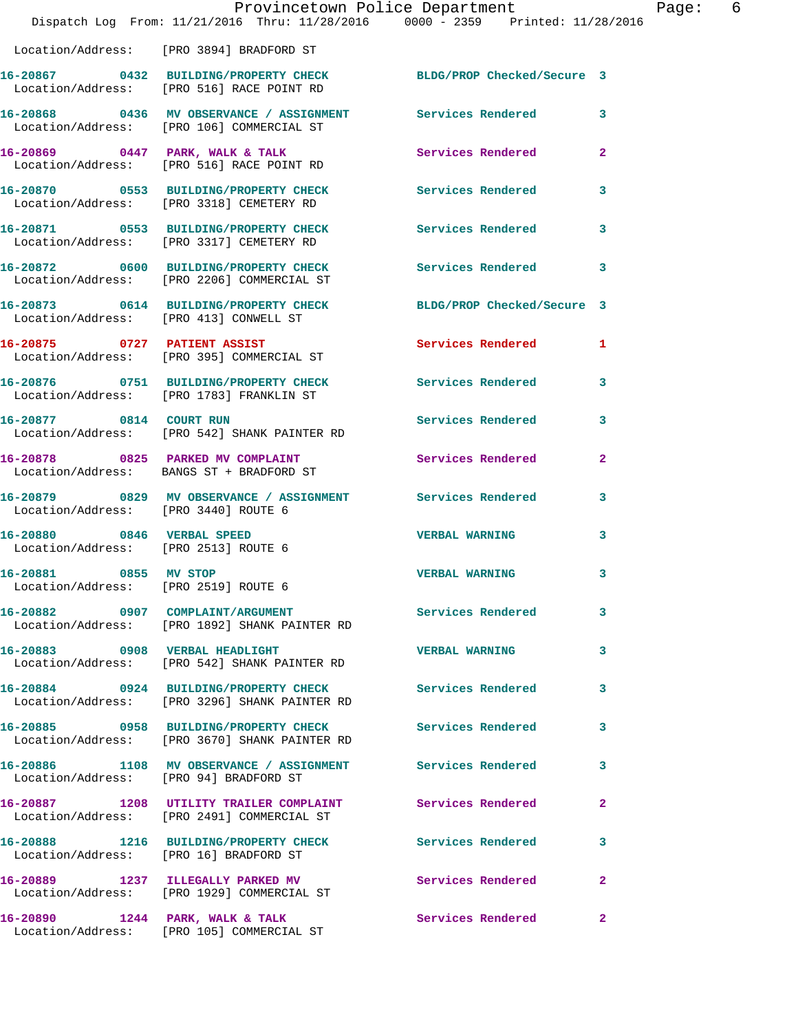|                                                                    | Provincetown Police Department<br>Dispatch Log From: 11/21/2016 Thru: 11/28/2016 0000 - 2359 Printed: 11/28/2016 |                            |              |
|--------------------------------------------------------------------|------------------------------------------------------------------------------------------------------------------|----------------------------|--------------|
|                                                                    | Location/Address: [PRO 3894] BRADFORD ST                                                                         |                            |              |
|                                                                    | 16-20867 0432 BUILDING/PROPERTY CHECK BLDG/PROP Checked/Secure 3<br>Location/Address: [PRO 516] RACE POINT RD    |                            |              |
|                                                                    | 16-20868 0436 MV OBSERVANCE / ASSIGNMENT Services Rendered<br>Location/Address: [PRO 106] COMMERCIAL ST          |                            | $\mathbf{3}$ |
|                                                                    | 16-20869 0447 PARK, WALK & TALK<br>Location/Address: [PRO 516] RACE POINT RD                                     | Services Rendered          | $\mathbf{2}$ |
|                                                                    | 16-20870 0553 BUILDING/PROPERTY CHECK Services Rendered<br>Location/Address: [PRO 3318] CEMETERY RD              |                            | 3            |
|                                                                    | 16-20871 0553 BUILDING/PROPERTY CHECK<br>Location/Address: [PRO 3317] CEMETERY RD                                | Services Rendered          | 3            |
|                                                                    | 16-20872 0600 BUILDING/PROPERTY CHECK<br>Location/Address: [PRO 2206] COMMERCIAL ST                              | <b>Services Rendered</b>   | 3            |
|                                                                    | 16-20873 0614 BUILDING/PROPERTY CHECK<br>Location/Address: [PRO 413] CONWELL ST                                  | BLDG/PROP Checked/Secure 3 |              |
|                                                                    | 16-20875 0727 PATIENT ASSIST<br>Location/Address: [PRO 395] COMMERCIAL ST                                        | <b>Services Rendered</b>   | 1            |
|                                                                    | 16-20876 0751 BUILDING/PROPERTY CHECK<br>Location/Address: [PRO 1783] FRANKLIN ST                                | Services Rendered          | 3            |
|                                                                    | 16-20877 0814 COURT RUN<br>Location/Address: [PRO 542] SHANK PAINTER RD                                          | <b>Services Rendered</b>   | 3            |
|                                                                    | 16-20878 0825 PARKED MV COMPLAINT<br>Location/Address: BANGS ST + BRADFORD ST                                    | Services Rendered          | $\mathbf{2}$ |
| Location/Address: [PRO 3440] ROUTE 6                               | 16-20879 0829 MV OBSERVANCE / ASSIGNMENT Services Rendered                                                       |                            | 3            |
| 16-20880 0846 VERBAL SPEED<br>Location/Address: [PRO 2513] ROUTE 6 |                                                                                                                  | <b>VERBAL WARNING</b>      | 3            |
| 16-20881 0855 MV STOP<br>Location/Address: [PRO 2519] ROUTE 6      |                                                                                                                  | <b>VERBAL WARNING</b>      | 3            |
|                                                                    | 16-20882 0907 COMPLAINT/ARGUMENT<br>Location/Address: [PRO 1892] SHANK PAINTER RD                                | Services Rendered          | 3            |
|                                                                    | 16-20883 0908 VERBAL HEADLIGHT<br>Location/Address: [PRO 542] SHANK PAINTER RD                                   | <b>VERBAL WARNING</b>      | 3            |
|                                                                    | 16-20884 0924 BUILDING/PROPERTY CHECK Services Rendered<br>Location/Address: [PRO 3296] SHANK PAINTER RD         |                            | 3            |
|                                                                    | 16-20885 0958 BUILDING/PROPERTY CHECK<br>Location/Address: [PRO 3670] SHANK PAINTER RD                           | <b>Services Rendered</b>   | 3            |
| Location/Address: [PRO 94] BRADFORD ST                             | 16-20886 1108 MV OBSERVANCE / ASSIGNMENT Services Rendered                                                       |                            | 3            |
|                                                                    | 16-20887 1208 UTILITY TRAILER COMPLAINT Services Rendered<br>Location/Address: [PRO 2491] COMMERCIAL ST          |                            | 2            |
| Location/Address: [PRO 16] BRADFORD ST                             | 16-20888 1216 BUILDING/PROPERTY CHECK Services Rendered                                                          |                            | 3            |
|                                                                    | 16-20889 1237 ILLEGALLY PARKED MV<br>Location/Address: [PRO 1929] COMMERCIAL ST                                  | Services Rendered          | $\mathbf{2}$ |
|                                                                    | 16-20890 1244 PARK, WALK & TALK<br>Location/Address: [PRO 105] COMMERCIAL ST                                     | Services Rendered          | $\mathbf{2}$ |

Page: 6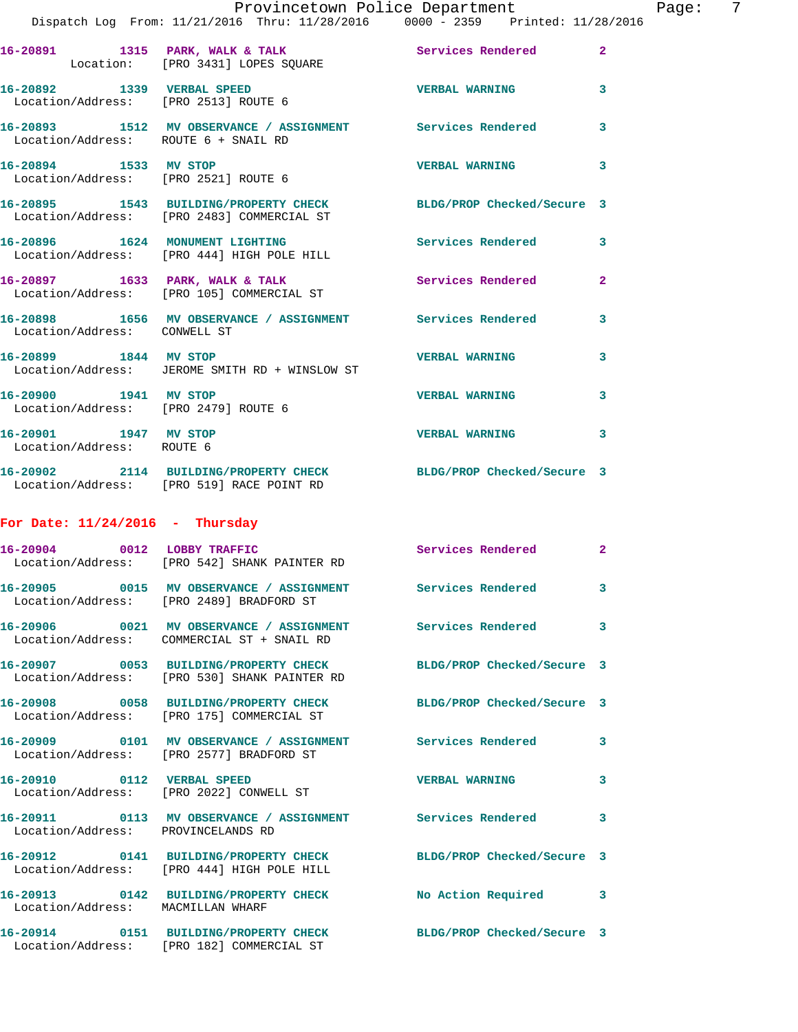|                                                               | Provincetown Police Department                                                                                |                            |                |
|---------------------------------------------------------------|---------------------------------------------------------------------------------------------------------------|----------------------------|----------------|
|                                                               | Dispatch Log From: 11/21/2016 Thru: 11/28/2016 0000 - 2359 Printed: 11/28/2016                                |                            |                |
|                                                               | 16-20891 1315 PARK, WALK & TALK 1999 Services Rendered<br>Location: [PRO 3431] LOPES SQUARE                   |                            | $\mathbf{2}$   |
|                                                               | 16-20892 1339 VERBAL SPEED<br>Location/Address: [PRO 2513] ROUTE 6                                            | <b>VERBAL WARNING</b>      | 3              |
|                                                               | 16-20893 1512 MV OBSERVANCE / ASSIGNMENT Services Rendered<br>Location/Address: ROUTE 6 + SNAIL RD            |                            | 3              |
| 16-20894 1533 MV STOP                                         | Location/Address: [PRO 2521] ROUTE 6                                                                          | <b>VERBAL WARNING</b>      | 3              |
|                                                               | 16-20895 1543 BUILDING/PROPERTY CHECK<br>Location/Address: [PRO 2483] COMMERCIAL ST                           | BLDG/PROP Checked/Secure 3 |                |
|                                                               | 16-20896 1624 MONUMENT LIGHTING<br>Location/Address: [PRO 444] HIGH POLE HILL                                 | <b>Services Rendered</b>   | 3              |
|                                                               | 16-20897 1633 PARK, WALK & TALK<br>Location/Address: [PRO 105] COMMERCIAL ST                                  | Services Rendered          | $\overline{a}$ |
| Location/Address: CONWELL ST                                  | 16-20898 1656 MV OBSERVANCE / ASSIGNMENT Services Rendered                                                    |                            | 3              |
| 16-20899 1844 MV STOP                                         | Location/Address: JEROME SMITH RD + WINSLOW ST                                                                | <b>VERBAL WARNING</b>      | 3              |
| 16-20900 1941 MV STOP<br>Location/Address: [PRO 2479] ROUTE 6 |                                                                                                               | <b>VERBAL WARNING</b>      | 3              |
| 16-20901 1947 MV STOP<br>Location/Address: ROUTE 6            |                                                                                                               | <b>VERBAL WARNING</b>      | 3              |
|                                                               | 16-20902 2114 BUILDING/PROPERTY CHECK BLDG/PROP Checked/Secure 3<br>Location/Address: [PRO 519] RACE POINT RD |                            |                |
| For Date: $11/24/2016$ - Thursday                             |                                                                                                               |                            |                |
|                                                               | 16-20904 0012 LOBBY TRAFFIC<br>Location/Address: [PRO 542] SHANK PAINTER RD                                   | Services Rendered          | $\mathbf{2}$   |
| 16-20905                                                      | 0015 MV OBSERVANCE / ASSIGNMENT<br>Location/Address: [PRO 2489] BRADFORD ST                                   | Services Rendered          | 3              |
|                                                               | 16-20906 0021 MV OBSERVANCE / ASSIGNMENT Services Rendered<br>Location/Address: COMMERCIAL ST + SNAIL RD      |                            | 3              |
|                                                               | 16-20907 0053 BUILDING/PROPERTY CHECK<br>Location/Address: [PRO 530] SHANK PAINTER RD                         | BLDG/PROP Checked/Secure 3 |                |
|                                                               | 16-20908 0058 BUILDING/PROPERTY CHECK<br>Location/Address: [PRO 175] COMMERCIAL ST                            | BLDG/PROP Checked/Secure 3 |                |
|                                                               | 16-20909 0101 MV OBSERVANCE / ASSIGNMENT Services Rendered<br>Location/Address: [PRO 2577] BRADFORD ST        |                            | 3              |
|                                                               | 16-20910 0112 VERBAL SPEED<br>Location/Address: [PRO 2022] CONWELL ST                                         | <b>VERBAL WARNING</b>      | 3              |
| Location/Address: PROVINCELANDS RD                            | 16-20911 0113 MV OBSERVANCE / ASSIGNMENT Services Rendered                                                    |                            | 3              |
|                                                               | 16-20912 0141 BUILDING/PROPERTY CHECK<br>Location/Address: [PRO 444] HIGH POLE HILL                           | BLDG/PROP Checked/Secure 3 |                |
| Location/Address: MACMILLAN WHARF                             | 16-20913 0142 BUILDING/PROPERTY CHECK                                                                         | No Action Required         | 3              |
|                                                               | 16-20914 0151 BUILDING/PROPERTY CHECK<br>Location/Address: [PRO 182] COMMERCIAL ST                            | BLDG/PROP Checked/Secure 3 |                |

Page:  $7$ <br>016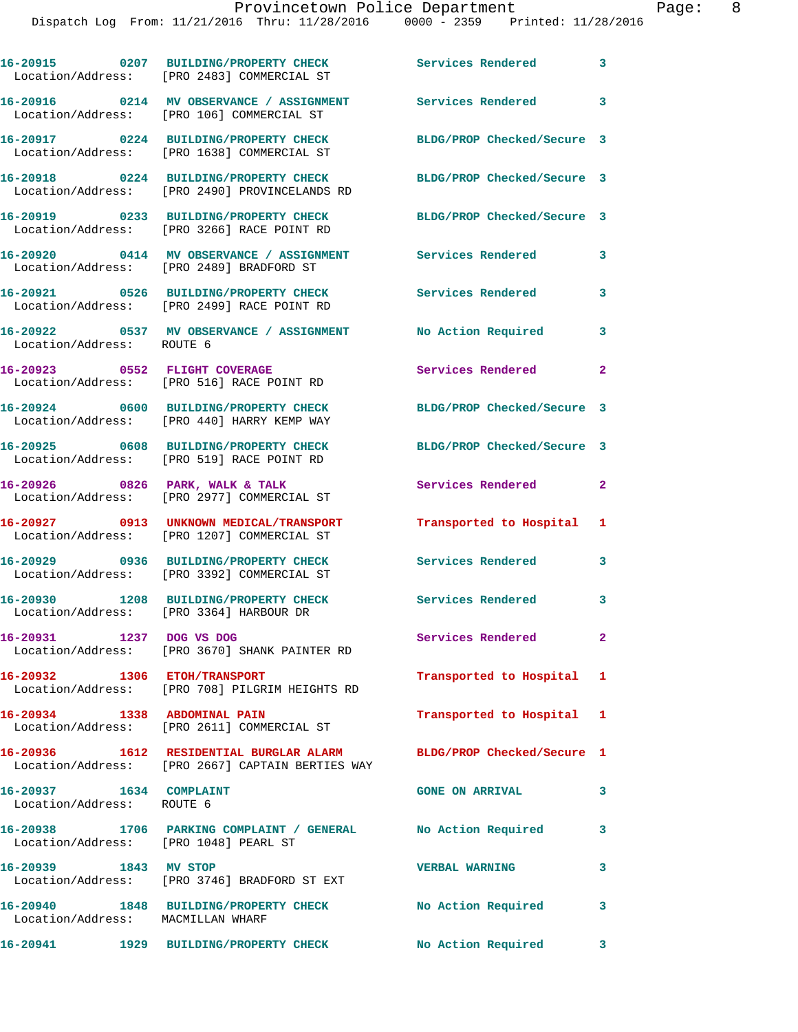|                                                      | 16-20915 0207 BUILDING/PROPERTY CHECK Services Rendered<br>Location/Address: [PRO 2483] COMMERCIAL ST    |                            | $\mathbf{3}$ |
|------------------------------------------------------|----------------------------------------------------------------------------------------------------------|----------------------------|--------------|
|                                                      | 16-20916 0214 MV OBSERVANCE / ASSIGNMENT<br>Location/Address: [PRO 106] COMMERCIAL ST                    | <b>Services Rendered</b>   | 3            |
|                                                      | 16-20917 0224 BUILDING/PROPERTY CHECK<br>Location/Address: [PRO 1638] COMMERCIAL ST                      | BLDG/PROP Checked/Secure 3 |              |
|                                                      | 16-20918 0224 BUILDING/PROPERTY CHECK<br>Location/Address: [PRO 2490] PROVINCELANDS RD                   | BLDG/PROP Checked/Secure 3 |              |
|                                                      | 16-20919 0233 BUILDING/PROPERTY CHECK<br>Location/Address: [PRO 3266] RACE POINT RD                      | BLDG/PROP Checked/Secure 3 |              |
|                                                      | 16-20920  0414 MV OBSERVANCE / ASSIGNMENT  Services Rendered<br>Location/Address: [PRO 2489] BRADFORD ST |                            | 3            |
|                                                      | 16-20921 0526 BUILDING/PROPERTY CHECK<br>Location/Address: [PRO 2499] RACE POINT RD                      | Services Rendered          | 3            |
| Location/Address: ROUTE 6                            | 16-20922 0537 MV OBSERVANCE / ASSIGNMENT                                                                 | No Action Required         | 3            |
|                                                      | 16-20923 0552 FLIGHT COVERAGE<br>Location/Address: [PRO 516] RACE POINT RD                               | Services Rendered          | $\mathbf{2}$ |
|                                                      | 16-20924 0600 BUILDING/PROPERTY CHECK<br>Location/Address: [PRO 440] HARRY KEMP WAY                      | BLDG/PROP Checked/Secure 3 |              |
|                                                      | 16-20925 0608 BUILDING/PROPERTY CHECK<br>Location/Address: [PRO 519] RACE POINT RD                       | BLDG/PROP Checked/Secure 3 |              |
|                                                      | 16-20926 0826 PARK, WALK & TALK<br>Location/Address: [PRO 2977] COMMERCIAL ST                            | Services Rendered 2        |              |
|                                                      | 16-20927 0913 UNKNOWN MEDICAL/TRANSPORT<br>Location/Address: [PRO 1207] COMMERCIAL ST                    | Transported to Hospital 1  |              |
|                                                      | 16-20929 0936 BUILDING/PROPERTY CHECK<br>Location/Address: [PRO 3392] COMMERCIAL ST                      | Services Rendered          | 3            |
|                                                      | 16-20930 1208 BUILDING/PROPERTY CHECK<br>Location/Address: [PRO 3364] HARBOUR DR                         | Services Rendered          | 3            |
|                                                      | 16-20931 1237 DOG VS DOG<br>Location/Address: [PRO 3670] SHANK PAINTER RD                                | Services Rendered          | $\mathbf{2}$ |
| 16-20932 1306 ETOH/TRANSPORT                         | Location/Address: [PRO 708] PILGRIM HEIGHTS RD                                                           | Transported to Hospital 1  |              |
| 16-20934 1338 ABDOMINAL PAIN                         | Location/Address: [PRO 2611] COMMERCIAL ST                                                               | Transported to Hospital 1  |              |
|                                                      | 16-20936 1612 RESIDENTIAL BURGLAR ALARM<br>Location/Address: [PRO 2667] CAPTAIN BERTIES WAY              | BLDG/PROP Checked/Secure 1 |              |
| 16-20937 1634 COMPLAINT<br>Location/Address: ROUTE 6 |                                                                                                          | <b>GONE ON ARRIVAL</b>     | 3            |
|                                                      | 16-20938 1706 PARKING COMPLAINT / GENERAL<br>Location/Address: [PRO 1048] PEARL ST                       | No Action Required         | 3            |
| 16-20939 1843 MV STOP                                | Location/Address: [PRO 3746] BRADFORD ST EXT                                                             | <b>VERBAL WARNING</b>      | 3            |
| Location/Address: MACMILLAN WHARF                    | 16-20940 1848 BUILDING/PROPERTY CHECK                                                                    | No Action Required         | 3            |
| 16-20941                                             | 1929 BUILDING/PROPERTY CHECK                                                                             | No Action Required         | 3            |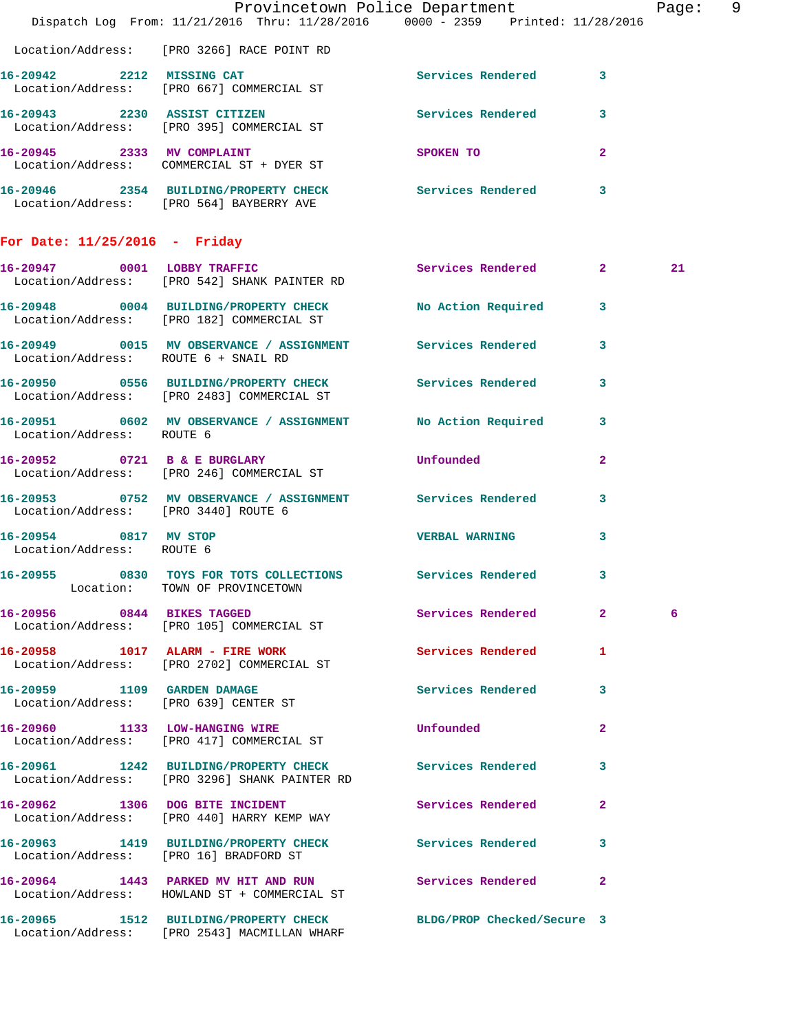|                                                    | Provincetown Police Department<br>Dispatch Log From: 11/21/2016 Thru: 11/28/2016 0000 - 2359 Printed: 11/28/2016 |                          |                         | Page: 9 |  |
|----------------------------------------------------|------------------------------------------------------------------------------------------------------------------|--------------------------|-------------------------|---------|--|
|                                                    | Location/Address: [PRO 3266] RACE POINT RD                                                                       |                          |                         |         |  |
|                                                    | 16-20942 2212 MISSING CAT<br>Location/Address: [PRO 667] COMMERCIAL ST                                           | Services Rendered 3      |                         |         |  |
|                                                    | 16-20943 2230 ASSIST CITIZEN Services Rendered 3<br>Location/Address: [PRO 395] COMMERCIAL ST                    |                          |                         |         |  |
|                                                    | 16-20945 2333 MV COMPLAINT<br>Location/Address: COMMERCIAL ST + DYER ST                                          | SPOKEN TO                | $\mathbf{2}$            |         |  |
|                                                    | 16-20946 2354 BUILDING/PROPERTY CHECK Services Rendered 3<br>Location/Address: [PRO 564] BAYBERRY AVE            |                          |                         |         |  |
| For Date: $11/25/2016$ - Friday                    |                                                                                                                  |                          |                         |         |  |
|                                                    | 16-20947 0001 LOBBY TRAFFIC<br>Location/Address: [PRO 542] SHANK PAINTER RD                                      | Services Rendered 2      |                         | 21      |  |
|                                                    | 16-20948 0004 BUILDING/PROPERTY CHECK No Action Required 3<br>Location/Address: [PRO 182] COMMERCIAL ST          |                          |                         |         |  |
| Location/Address: ROUTE 6 + SNAIL RD               | 16-20949 0015 MV OBSERVANCE / ASSIGNMENT Services Rendered 3                                                     |                          |                         |         |  |
|                                                    | 16-20950 0556 BUILDING/PROPERTY CHECK Services Rendered 3<br>Location/Address: [PRO 2483] COMMERCIAL ST          |                          |                         |         |  |
| Location/Address: ROUTE 6                          | 16-20951 0602 MV OBSERVANCE / ASSIGNMENT No Action Required 3                                                    |                          |                         |         |  |
|                                                    | 16-20952 0721 B & E BURGLARY<br>Location/Address: [PRO 246] COMMERCIAL ST                                        | <b>Unfounded</b>         | $\mathbf{2}$            |         |  |
| Location/Address: [PRO 3440] ROUTE 6               | 16-20953 0752 MV OBSERVANCE / ASSIGNMENT Services Rendered 3                                                     |                          |                         |         |  |
| 16-20954 0817 MV STOP<br>Location/Address: ROUTE 6 |                                                                                                                  | <b>VERBAL WARNING</b>    | $\overline{\mathbf{3}}$ |         |  |
|                                                    | 16-20955 0830 TOYS FOR TOTS COLLECTIONS Services Rendered<br>Location: TOWN OF PROVINCETOWN                      |                          | $\overline{\mathbf{3}}$ |         |  |
|                                                    | 16-20956 0844 BIKES TAGGED<br>Location/Address: [PRO 105] COMMERCIAL ST                                          | Services Rendered 2      |                         | 6       |  |
|                                                    | 16-20958 1017 ALARM - FIRE WORK<br>Location/Address: [PRO 2702] COMMERCIAL ST                                    | <b>Services Rendered</b> | $\mathbf{1}$            |         |  |
|                                                    | 16-20959 1109 GARDEN DAMAGE<br>Location/Address: [PRO 639] CENTER ST                                             | Services Rendered 3      |                         |         |  |
|                                                    | 16-20960 1133 LOW-HANGING WIRE<br>Location/Address: [PRO 417] COMMERCIAL ST                                      | Unfounded                | $\mathbf{2}$            |         |  |
|                                                    | 16-20961 1242 BUILDING/PROPERTY CHECK Services Rendered 3<br>Location/Address: [PRO 3296] SHANK PAINTER RD       |                          |                         |         |  |
|                                                    | 16-20962 1306 DOG BITE INCIDENT Services Rendered<br>Location/Address: [PRO 440] HARRY KEMP WAY                  |                          | $\mathbf{2}$            |         |  |
|                                                    | 16-20963 1419 BUILDING/PROPERTY CHECK Services Rendered 3<br>Location/Address: [PRO 16] BRADFORD ST              |                          |                         |         |  |
|                                                    | 16-20964 1443 PARKED MV HIT AND RUN Services Rendered 2<br>Location/Address: HOWLAND ST + COMMERCIAL ST          |                          |                         |         |  |
|                                                    | 16-20965 1512 BUILDING/PROPERTY CHECK BLDG/PROP Checked/Secure 3<br>Location/Address: [PRO 2543] MACMILLAN WHARF |                          |                         |         |  |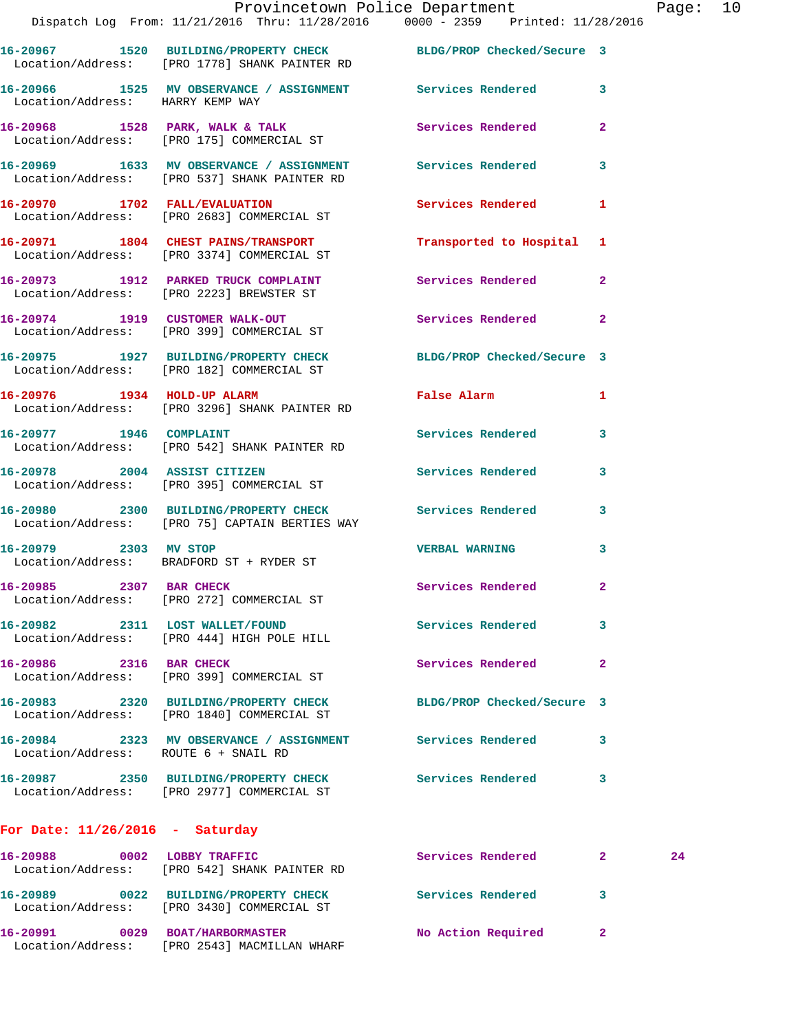|                                      | Provincetown Police Department Fage: 10<br>Dispatch Log From: 11/21/2016 Thru: 11/28/2016 0000 - 2359 Printed: 11/28/2016 |                          |                |    |  |
|--------------------------------------|---------------------------------------------------------------------------------------------------------------------------|--------------------------|----------------|----|--|
|                                      | 16-20967 1520 BUILDING/PROPERTY CHECK BLDG/PROP Checked/Secure 3<br>Location/Address: [PRO 1778] SHANK PAINTER RD         |                          |                |    |  |
| Location/Address: HARRY KEMP WAY     | 16-20966 1525 MV OBSERVANCE / ASSIGNMENT Services Rendered 3                                                              |                          |                |    |  |
|                                      | 16-20968 1528 PARK, WALK & TALK 1998 Services Rendered 2<br>Location/Address: [PRO 175] COMMERCIAL ST                     |                          |                |    |  |
|                                      | 16-20969 1633 MV OBSERVANCE / ASSIGNMENT Services Rendered 3<br>Location/Address: [PRO 537] SHANK PAINTER RD              |                          |                |    |  |
|                                      | 16-20970 1702 FALL/EVALUATION<br>Location/Address: [PRO 2683] COMMERCIAL ST                                               | <b>Services Rendered</b> | 1              |    |  |
|                                      | 16-20971 1804 CHEST PAINS/TRANSPORT Transported to Hospital 1<br>Location/Address: [PRO 3374] COMMERCIAL ST               |                          |                |    |  |
|                                      | 16-20973 1912 PARKED TRUCK COMPLAINT Services Rendered 2<br>Location/Address: [PRO 2223] BREWSTER ST                      |                          |                |    |  |
|                                      | 16-20974 1919 CUSTOMER WALK-OUT Services Rendered 2<br>Location/Address: [PRO 399] COMMERCIAL ST                          |                          |                |    |  |
|                                      | 16-20975   1927   BUILDING/PROPERTY CHECK   BLDG/PROP Checked/Secure   3<br>Location/Address: [PRO 182] COMMERCIAL ST     |                          |                |    |  |
|                                      | 16-20976 1934 HOLD-UP ALARM<br>Location/Address: [PRO 3296] SHANK PAINTER RD                                              | False Alarm              | 1              |    |  |
|                                      | 16-20977 1946 COMPLAINT<br>Location/Address: [PRO 542] SHANK PAINTER RD                                                   | Services Rendered 3      |                |    |  |
|                                      | 16-20978 2004 ASSIST CITIZEN<br>Location/Address: [PRO 395] COMMERCIAL ST                                                 | Services Rendered 3      |                |    |  |
|                                      | 16-20980 2300 BUILDING/PROPERTY CHECK Services Rendered 3<br>Location/Address: [PRO 75] CAPTAIN BERTIES WAY               |                          |                |    |  |
|                                      | 16-20979 2303 MV STOP<br>Location/Address: BRADFORD ST + RYDER ST                                                         | <b>VERBAL WARNING</b>    | 3              |    |  |
| 16-20985 2307 BAR CHECK              | Location/Address: [PRO 272] COMMERCIAL ST                                                                                 | Services Rendered        | 2              |    |  |
|                                      | 16-20982 2311 LOST WALLET/FOUND Services Rendered 3<br>Location/Address: [PRO 444] HIGH POLE HILL                         |                          |                |    |  |
|                                      | 16-20986 2316 BAR CHECK<br>Location/Address: [PRO 399] COMMERCIAL ST                                                      | Services Rendered        | $\overline{2}$ |    |  |
|                                      | 16-20983 2320 BUILDING/PROPERTY CHECK BLDG/PROP Checked/Secure 3<br>Location/Address: [PRO 1840] COMMERCIAL ST            |                          |                |    |  |
| Location/Address: ROUTE 6 + SNAIL RD | 16-20984 2323 MV OBSERVANCE / ASSIGNMENT Services Rendered                                                                |                          | 3              |    |  |
|                                      | 16-20987 2350 BUILDING/PROPERTY CHECK Services Rendered<br>Location/Address: [PRO 2977] COMMERCIAL ST                     |                          | 3              |    |  |
| For Date: $11/26/2016$ - Saturday    |                                                                                                                           |                          |                |    |  |
|                                      | 16-20988 0002 LOBBY TRAFFIC<br>Location/Address: [PRO 542] SHANK PAINTER RD                                               | Services Rendered 2      |                | 24 |  |
|                                      | 16-20989 0022 BUILDING/PROPERTY CHECK<br>Location/Address: [PRO 3430] COMMERCIAL ST                                       | Services Rendered 3      |                |    |  |

**16-20991 0029 BOAT/HARBORMASTER No Action Required 2** 

Location/Address: [PRO 2543] MACMILLAN WHARF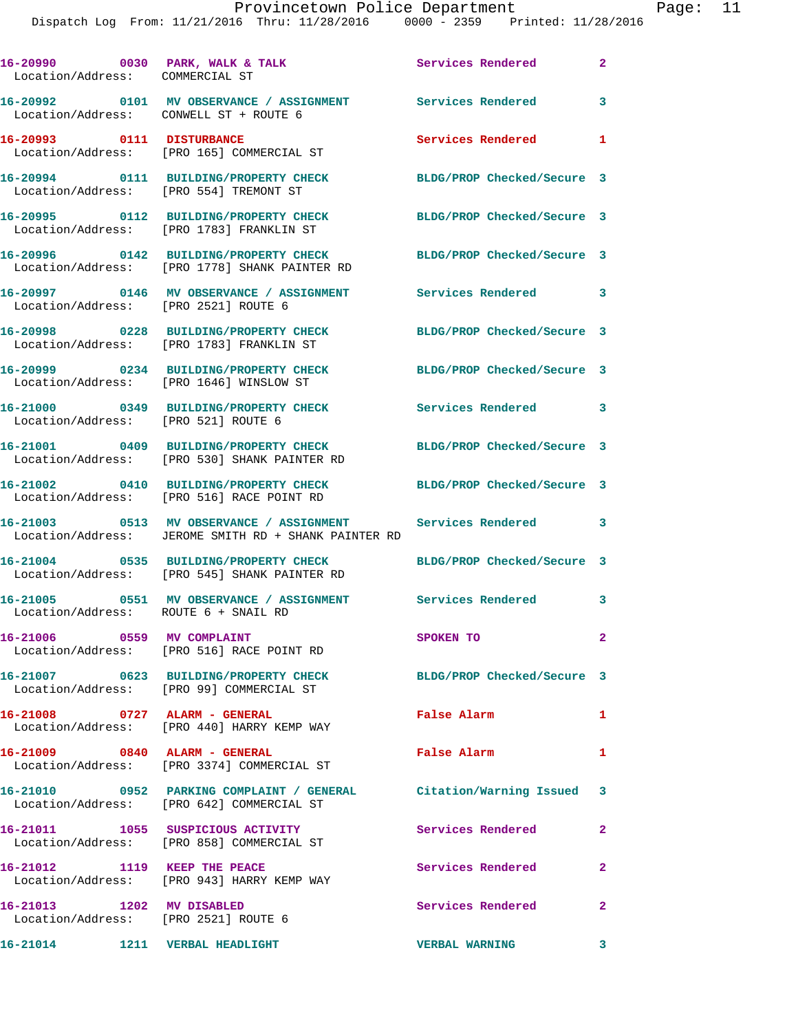| Location/Address: COMMERCIAL ST                                   | 16-20990 0030 PARK, WALK & TALK Services Rendered                                                                |                                          | $\mathbf{2}$ |
|-------------------------------------------------------------------|------------------------------------------------------------------------------------------------------------------|------------------------------------------|--------------|
| Location/Address: CONWELL ST + ROUTE 6                            | 16-20992 0101 MV OBSERVANCE / ASSIGNMENT Services Rendered                                                       |                                          | 3            |
| 16-20993 0111 DISTURBANCE                                         | Location/Address: [PRO 165] COMMERCIAL ST                                                                        | Services Rendered                        | 1            |
|                                                                   | 16-20994 0111 BUILDING/PROPERTY CHECK<br>Location/Address: [PRO 554] TREMONT ST                                  | BLDG/PROP Checked/Secure 3               |              |
|                                                                   | 16-20995 0112 BUILDING/PROPERTY CHECK<br>Location/Address: [PRO 1783] FRANKLIN ST                                | BLDG/PROP Checked/Secure 3               |              |
|                                                                   | 16-20996 0142 BUILDING/PROPERTY CHECK<br>Location/Address: [PRO 1778] SHANK PAINTER RD                           | BLDG/PROP Checked/Secure 3               |              |
| Location/Address: [PRO 2521] ROUTE 6                              | 16-20997 0146 MV OBSERVANCE / ASSIGNMENT                                                                         | Services Rendered 3                      |              |
|                                                                   | 16-20998 0228 BUILDING/PROPERTY CHECK<br>Location/Address: [PRO 1783] FRANKLIN ST                                | BLDG/PROP Checked/Secure 3               |              |
|                                                                   | 16-20999 0234 BUILDING/PROPERTY CHECK<br>Location/Address: [PRO 1646] WINSLOW ST                                 | BLDG/PROP Checked/Secure 3               |              |
| Location/Address: [PRO 521] ROUTE 6                               | 16-21000 0349 BUILDING/PROPERTY CHECK Services Rendered 3                                                        |                                          |              |
|                                                                   | 16-21001 0409 BUILDING/PROPERTY CHECK<br>Location/Address: [PRO 530] SHANK PAINTER RD                            | BLDG/PROP Checked/Secure 3               |              |
|                                                                   | 16-21002 0410 BUILDING/PROPERTY CHECK<br>Location/Address: [PRO 516] RACE POINT RD                               | BLDG/PROP Checked/Secure 3               |              |
|                                                                   | 16-21003 0513 MV OBSERVANCE / ASSIGNMENT<br>Location/Address: JEROME SMITH RD + SHANK PAINTER RD                 | <b>Services Rendered</b>                 | 3            |
|                                                                   | 16-21004 0535 BUILDING/PROPERTY CHECK<br>Location/Address: [PRO 545] SHANK PAINTER RD                            | BLDG/PROP Checked/Secure 3               |              |
| Location/Address: ROUTE 6 + SNAIL RD                              | 16-21005 0551 MV OBSERVANCE / ASSIGNMENT Services Rendered                                                       |                                          | 3            |
| 16-21006 0559 MV COMPLAINT                                        | Location/Address: [PRO 516] RACE POINT RD                                                                        | SPOKEN TO                                | $\mathbf{2}$ |
|                                                                   | 16-21007 0623 BUILDING/PROPERTY CHECK BLDG/PROP Checked/Secure 3<br>Location/Address: [PRO 99] COMMERCIAL ST     |                                          |              |
| 16-21008 0727 ALARM - GENERAL                                     | Location/Address: [PRO 440] HARRY KEMP WAY                                                                       | False Alarm                              | 1            |
|                                                                   | 16-21009 0840 ALARM - GENERAL<br>Location/Address: [PRO 3374] COMMERCIAL ST                                      | False Alarm                              | 1            |
|                                                                   | 16-21010 0952 PARKING COMPLAINT / GENERAL Citation/Warning Issued 3<br>Location/Address: [PRO 642] COMMERCIAL ST |                                          |              |
|                                                                   | 16-21011 1055 SUSPICIOUS ACTIVITY<br>Location/Address: [PRO 858] COMMERCIAL ST                                   | Services Rendered                        | $\mathbf{2}$ |
| 16-21012 1119 KEEP THE PEACE                                      | Location/Address: [PRO 943] HARRY KEMP WAY                                                                       | Services Rendered                        | $\mathbf{2}$ |
| 16-21013 1202 MV DISABLED<br>Location/Address: [PRO 2521] ROUTE 6 |                                                                                                                  | Services Rendered                        | $\mathbf{2}$ |
| 16-21014 1211 VERBAL HEADLIGHT                                    |                                                                                                                  | <b>VERBAL WARNING</b><br>$\sim$ $\sim$ 3 |              |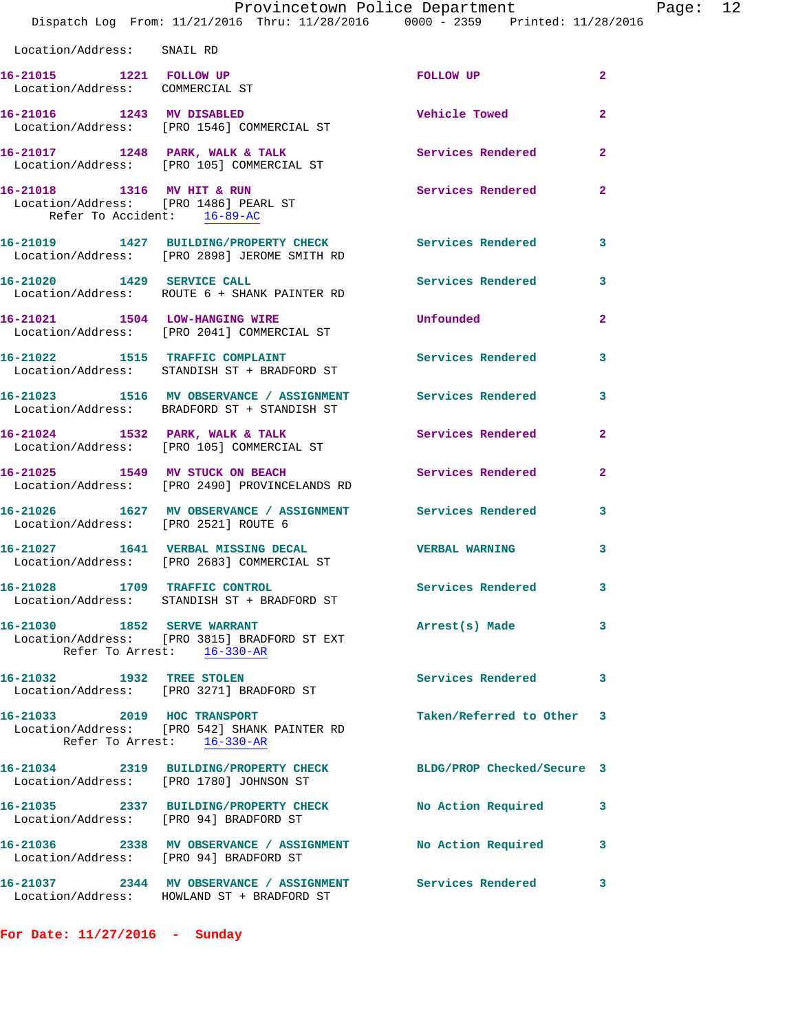|                                                            | Provincetown Police Department<br>Dispatch Log From: 11/21/2016 Thru: 11/28/2016 0000 - 2359 Printed: 11/28/2016 |                          |                |
|------------------------------------------------------------|------------------------------------------------------------------------------------------------------------------|--------------------------|----------------|
| Location/Address: SNAIL RD                                 |                                                                                                                  |                          |                |
| 16-21015 1221 FOLLOW UP<br>Location/Address: COMMERCIAL ST |                                                                                                                  | FOLLOW UP                | $\overline{a}$ |
|                                                            | 16-21016 1243 MV DISABLED<br>Location/Address: [PRO 1546] COMMERCIAL ST                                          | <b>Vehicle Towed</b>     | $\mathbf{2}$   |
|                                                            | 16-21017 1248 PARK, WALK & TALK<br>Location/Address: [PRO 105] COMMERCIAL ST                                     | Services Rendered        | $\overline{2}$ |
| 16-21018 1316 MV HIT & RUN<br>Refer To Accident: 16-89-AC  | Location/Address: [PRO 1486] PEARL ST                                                                            | <b>Services Rendered</b> | $\overline{2}$ |
|                                                            | 16-21019 1427 BUILDING/PROPERTY CHECK Services Rendered<br>Location/Address: [PRO 2898] JEROME SMITH RD          |                          | 3              |
|                                                            | 16-21020 1429 SERVICE CALL<br>Location/Address: ROUTE 6 + SHANK PAINTER RD                                       | <b>Services Rendered</b> | 3              |
|                                                            | 16-21021 1504 LOW-HANGING WIRE<br>Location/Address: [PRO 2041] COMMERCIAL ST                                     | Unfounded                | $\mathbf{2}$   |
|                                                            | 16-21022 1515 TRAFFIC COMPLAINT<br>Location/Address: STANDISH ST + BRADFORD ST                                   | <b>Services Rendered</b> | 3              |
|                                                            | 16-21023 1516 MV OBSERVANCE / ASSIGNMENT Services Rendered<br>Location/Address: BRADFORD ST + STANDISH ST        |                          | 3              |
|                                                            | 16-21024 1532 PARK, WALK & TALK<br>Location/Address: [PRO 105] COMMERCIAL ST                                     | <b>Services Rendered</b> | $\mathbf{2}$   |
|                                                            | 16-21025 1549 MV STUCK ON BEACH<br>Location/Address: [PRO 2490] PROVINCELANDS RD                                 | Services Rendered        | $\mathbf{2}$   |
| Location/Address: [PRO 2521] ROUTE 6                       | 16-21026 1627 MV OBSERVANCE / ASSIGNMENT Services Rendered                                                       |                          | 3              |
|                                                            | 16-21027 1641 VERBAL MISSING DECAL<br>Location/Address: [PRO 2683] COMMERCIAL ST                                 | <b>VERBAL WARNING</b>    | 3              |
| 16-21028 1709 TRAFFIC CONTROL                              | Location/Address: STANDISH ST + BRADFORD ST                                                                      | Services Rendered        | 3              |
| 16-21030 1852 SERVE WARRANT                                | Location/Address: [PRO 3815] BRADFORD ST EXT<br>Refer To Arrest: 16-330-AR                                       | Arrest(s) Made           | 3              |
| 16-21032 1932 TREE STOLEN                                  | Location/Address: [PRO 3271] BRADFORD ST                                                                         | Services Rendered        | 3              |
| 16-21033 2019 HOC TRANSPORT                                | Location/Address: [PRO 542] SHANK PAINTER RD<br>Refer To Arrest: 16-330-AR                                       | Taken/Referred to Other  | 3              |
| Location/Address: [PRO 1780] JOHNSON ST                    | 16-21034 2319 BUILDING/PROPERTY CHECK BLDG/PROP Checked/Secure 3                                                 |                          |                |
| Location/Address: [PRO 94] BRADFORD ST                     | 16-21035 2337 BUILDING/PROPERTY CHECK                                                                            | No Action Required       | 3              |
| Location/Address: [PRO 94] BRADFORD ST                     | 16-21036 2338 MV OBSERVANCE / ASSIGNMENT No Action Required                                                      |                          | 3              |
|                                                            | 16-21037 2344 MV OBSERVANCE / ASSIGNMENT Services Rendered                                                       |                          | 3              |

**For Date: 11/27/2016 - Sunday**

Location/Address: HOWLAND ST + BRADFORD ST

Page: 12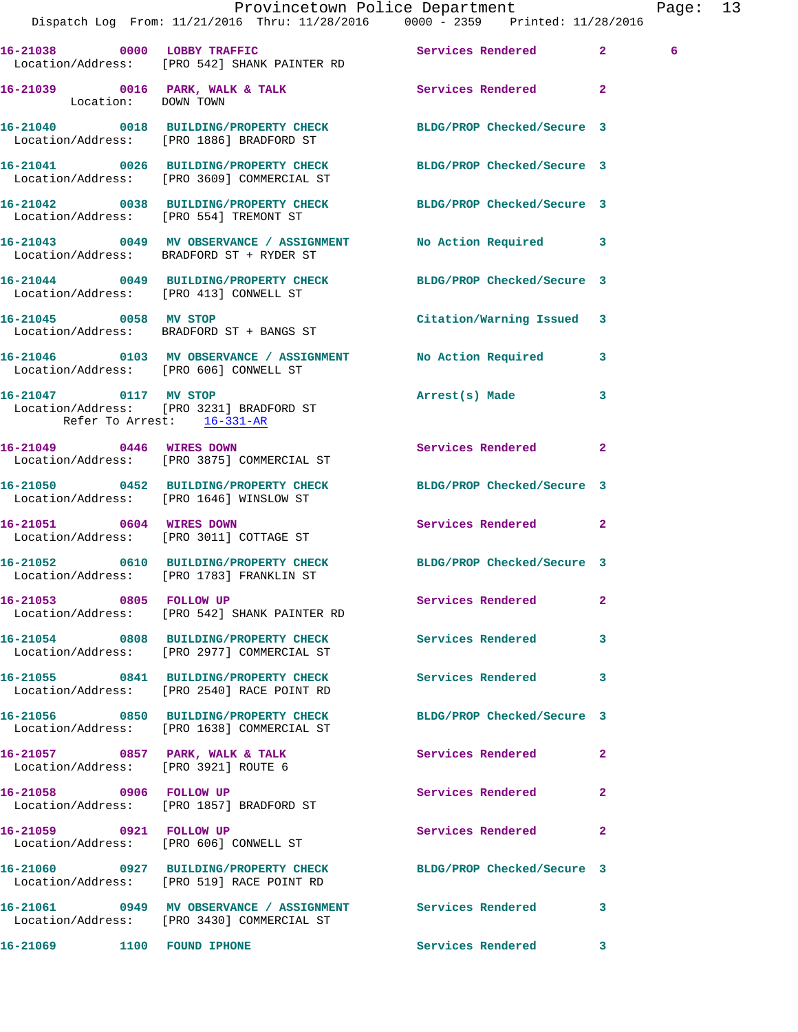|                            | Dispatch Log From: 11/21/2016 Thru: 11/28/2016 0000 - 2359 Printed: 11/28/2016                                 | Provincetown Police Department |              | Page: 13 |  |
|----------------------------|----------------------------------------------------------------------------------------------------------------|--------------------------------|--------------|----------|--|
|                            |                                                                                                                |                                |              |          |  |
|                            | 16-21038 0000 LOBBY TRAFFIC Services Rendered 2<br>Location/Address: [PRO 542] SHANK PAINTER RD                |                                |              | 6        |  |
| Location: DOWN TOWN        | 16-21039 0016 PARK, WALK & TALK Services Rendered 2                                                            |                                |              |          |  |
|                            | 16-21040 0018 BUILDING/PROPERTY CHECK BLDG/PROP Checked/Secure 3<br>Location/Address: [PRO 1886] BRADFORD ST   |                                |              |          |  |
|                            | 16-21041 0026 BUILDING/PROPERTY CHECK BLDG/PROP Checked/Secure 3<br>Location/Address: [PRO 3609] COMMERCIAL ST |                                |              |          |  |
|                            | 16-21042 0038 BUILDING/PROPERTY CHECK BLDG/PROP Checked/Secure 3<br>Location/Address: [PRO 554] TREMONT ST     |                                |              |          |  |
|                            | 16-21043 0049 MV OBSERVANCE / ASSIGNMENT No Action Required 3<br>Location/Address: BRADFORD ST + RYDER ST      |                                |              |          |  |
|                            | 16-21044 0049 BUILDING/PROPERTY CHECK BLDG/PROP Checked/Secure 3<br>Location/Address: [PRO 413] CONWELL ST     |                                |              |          |  |
|                            | 16-21045 0058 MV STOP<br>Location/Address: BRADFORD ST + BANGS ST                                              | Citation/Warning Issued 3      |              |          |  |
|                            | 16-21046 0103 MV OBSERVANCE / ASSIGNMENT No Action Required 3<br>Location/Address: [PRO 606] CONWELL ST        |                                |              |          |  |
| Refer To Arrest: 16-331-AR | 16-21047 0117 MV STOP<br>Location/Address: [PRO 3231] BRADFORD ST                                              | Arrest(s) Made                 | 3            |          |  |
|                            | 16-21049 0446 WIRES DOWN<br>Location/Address: [PRO 3875] COMMERCIAL ST                                         | Services Rendered              | $\mathbf{2}$ |          |  |
|                            | 16-21050 0452 BUILDING/PROPERTY CHECK BLDG/PROP Checked/Secure 3<br>Location/Address: [PRO 1646] WINSLOW ST    |                                |              |          |  |
| 16-21051 0604 WIRES DOWN   | Location/Address: [PRO 3011] COTTAGE ST                                                                        | <b>Services Rendered</b> 2     |              |          |  |
|                            | 16-21052 0610 BUILDING/PROPERTY CHECK BLDG/PROP Checked/Secure 3<br>Location/Address: [PRO 1783] FRANKLIN ST   |                                |              |          |  |
| 16-21053 0805 FOLLOW UP    | Location/Address: [PRO 542] SHANK PAINTER RD                                                                   | Services Rendered 2            |              |          |  |
|                            | 16-21054 0808 BUILDING/PROPERTY CHECK Services Rendered<br>Location/Address: [PRO 2977] COMMERCIAL ST          |                                | $\mathbf{3}$ |          |  |
|                            | 16-21055 0841 BUILDING/PROPERTY CHECK Services Rendered 3<br>Location/Address: [PRO 2540] RACE POINT RD        |                                |              |          |  |
|                            | 16-21056 0850 BUILDING/PROPERTY CHECK<br>Location/Address: [PRO 1638] COMMERCIAL ST                            | BLDG/PROP Checked/Secure 3     |              |          |  |
|                            | 16-21057 0857 PARK, WALK & TALK<br>Location/Address: [PRO 3921] ROUTE 6                                        | Services Rendered 2            |              |          |  |
|                            | 16-21058 0906 FOLLOW UP<br>Location/Address: [PRO 1857] BRADFORD ST                                            | Services Rendered              | $\mathbf{2}$ |          |  |
| 16-21059 0921 FOLLOW UP    | Location/Address: [PRO 606] CONWELL ST                                                                         | Services Rendered              | $\mathbf{2}$ |          |  |
|                            | 16-21060 0927 BUILDING/PROPERTY CHECK BLDG/PROP Checked/Secure 3<br>Location/Address: [PRO 519] RACE POINT RD  |                                |              |          |  |
|                            | 16-21061 0949 MV OBSERVANCE / ASSIGNMENT Services Rendered<br>Location/Address: [PRO 3430] COMMERCIAL ST       |                                | 3            |          |  |
| 16-21069 1100 FOUND IPHONE |                                                                                                                | Services Rendered              | $\mathbf{3}$ |          |  |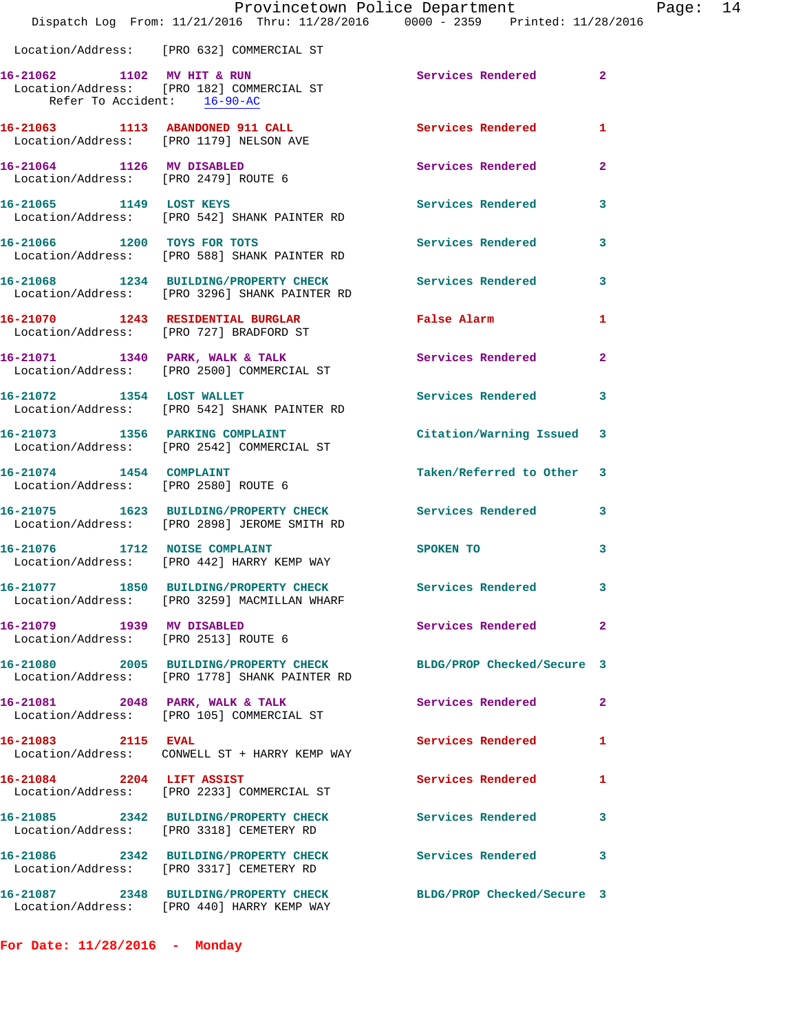|                                                                   | Dispatch Log From: 11/21/2016 Thru: 11/28/2016 0000 - 2359 Printed: 11/28/2016                                    | Provincetown Police Department Page: 14 |              |
|-------------------------------------------------------------------|-------------------------------------------------------------------------------------------------------------------|-----------------------------------------|--------------|
|                                                                   |                                                                                                                   |                                         |              |
|                                                                   | Location/Address: [PRO 632] COMMERCIAL ST                                                                         |                                         |              |
| Refer To Accident: 16-90-AC                                       | 16-21062 1102 MV HIT & RUN<br>Location/Address: [PRO 182] COMMERCIAL ST                                           | Services Rendered 2                     |              |
|                                                                   | 16-21063 1113 ABANDONED 911 CALL Services Rendered<br>Location/Address: [PRO 1179] NELSON AVE                     |                                         | 1            |
| 16-21064 1126 MV DISABLED<br>Location/Address: [PRO 2479] ROUTE 6 |                                                                                                                   | Services Rendered                       | $\mathbf{2}$ |
|                                                                   | 16-21065 1149 LOST KEYS<br>Location/Address: [PRO 542] SHANK PAINTER RD                                           | Services Rendered                       | 3            |
|                                                                   | 16-21066 1200 TOYS FOR TOTS<br>Location/Address: [PRO 588] SHANK PAINTER RD                                       | <b>Services Rendered</b>                | 3            |
|                                                                   | 16-21068 1234 BUILDING/PROPERTY CHECK Services Rendered<br>Location/Address: [PRO 3296] SHANK PAINTER RD          |                                         | 3            |
|                                                                   | 16-21070 1243 RESIDENTIAL BURGLAR<br>Location/Address: [PRO 727] BRADFORD ST                                      | False Alarm                             | 1            |
|                                                                   | 16-21071 1340 PARK, WALK & TALK<br>Location/Address: [PRO 2500] COMMERCIAL ST                                     | Services Rendered                       | $\mathbf{2}$ |
|                                                                   | 16-21072 1354 LOST WALLET<br>Location/Address: [PRO 542] SHANK PAINTER RD                                         | Services Rendered                       | 3            |
|                                                                   | 16-21073 1356 PARKING COMPLAINT<br>Location/Address: [PRO 2542] COMMERCIAL ST                                     | Citation/Warning Issued 3               |              |
| 16-21074 1454 COMPLAINT<br>Location/Address: [PRO 2580] ROUTE 6   |                                                                                                                   | Taken/Referred to Other 3               |              |
|                                                                   | 16-21075 1623 BUILDING/PROPERTY CHECK Services Rendered 3<br>Location/Address: [PRO 2898] JEROME SMITH RD         |                                         |              |
|                                                                   | 16-21076 1712 NOISE COMPLAINT<br>Location/Address: [PRO 442] HARRY KEMP WAY                                       | SPOKEN TO                               | 3            |
|                                                                   | 16-21077 1850 BUILDING/PROPERTY CHECK<br>Location/Address: [PRO 3259] MACMILLAN WHARF                             | Services Rendered 3                     |              |
| 16-21079 1939 MV DISABLED<br>Location/Address: [PRO 2513] ROUTE 6 |                                                                                                                   | Services Rendered                       | $\mathbf{2}$ |
|                                                                   | 16-21080 2005 BUILDING/PROPERTY CHECK BLDG/PROP Checked/Secure 3<br>Location/Address: [PRO 1778] SHANK PAINTER RD |                                         |              |
|                                                                   | 16-21081 2048 PARK, WALK & TALK<br>Location/Address: [PRO 105] COMMERCIAL ST                                      | Services Rendered                       | 2            |
| 16-21083 2115 EVAL                                                | Location/Address: CONWELL ST + HARRY KEMP WAY                                                                     | Services Rendered                       | 1            |
|                                                                   | 16-21084 2204 LIFT ASSIST<br>Location/Address: [PRO 2233] COMMERCIAL ST                                           | Services Rendered                       | 1            |
|                                                                   | 16-21085 2342 BUILDING/PROPERTY CHECK Services Rendered<br>Location/Address: [PRO 3318] CEMETERY RD               |                                         | 3            |
|                                                                   | 16-21086 2342 BUILDING/PROPERTY CHECK Services Rendered<br>Location/Address: [PRO 3317] CEMETERY RD               |                                         | 3            |
|                                                                   | 16-21087 2348 BUILDING/PROPERTY CHECK BLDG/PROP Checked/Secure 3<br>Location/Address: [PRO 440] HARRY KEMP WAY    |                                         |              |
|                                                                   |                                                                                                                   |                                         |              |

**For Date: 11/28/2016 - Monday**